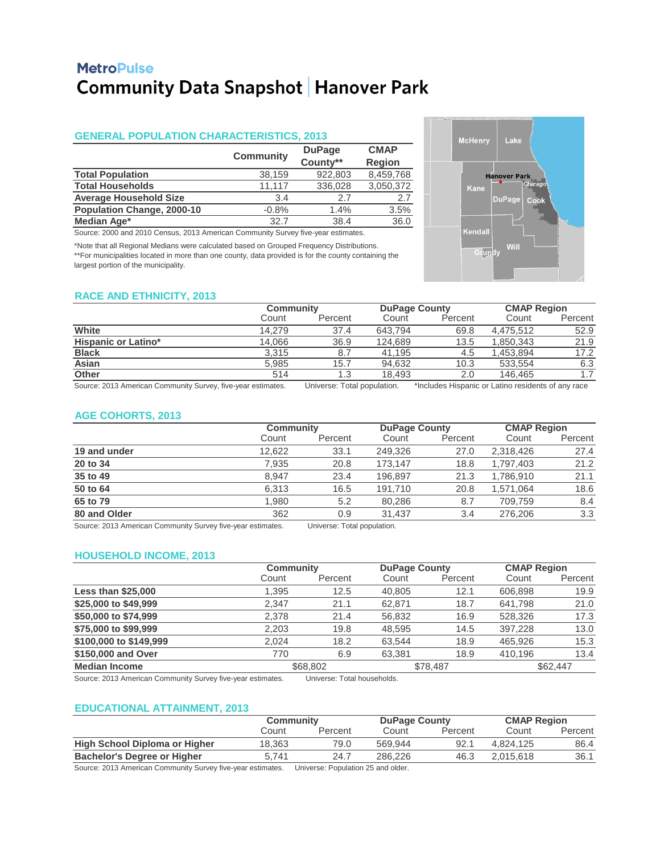# **MetroPulse Community Data Snapshot | Hanover Park**

## **GENERAL POPULATION CHARACTERISTICS, 2013**

|                                   |                  | <b>DuPage</b> | <b>CMAP</b>   |
|-----------------------------------|------------------|---------------|---------------|
|                                   | <b>Community</b> | County**      | <b>Region</b> |
| <b>Total Population</b>           | 38,159           | 922,803       | 8,459,768     |
| <b>Total Households</b>           | 11.117           | 336,028       | 3,050,372     |
| <b>Average Household Size</b>     | 3.4              | 27            | 2.7           |
| <b>Population Change, 2000-10</b> | $-0.8%$          | 1.4%          | 3.5%          |
| Median Age*                       | 32.7             | 38.4          | 36.0          |

Source: 2000 and 2010 Census, 2013 American Community Survey five-year estimates.

\*Note that all Regional Medians were calculated based on Grouped Frequency Distributions. \*\*For municipalities located in more than one county, data provided is for the county containing the largest portion of the municipality.



#### **RACE AND ETHNICITY, 2013**

|                                                            | Community |                         |         | <b>DuPage County</b>                                |           | <b>CMAP Region</b> |  |
|------------------------------------------------------------|-----------|-------------------------|---------|-----------------------------------------------------|-----------|--------------------|--|
|                                                            | Count     | Percent                 | Count   | Percent                                             | Count     | Percent            |  |
| White                                                      | 14.279    | 37.4                    | 643.794 | 69.8                                                | 4.475.512 | 52.9               |  |
| <b>Hispanic or Latino*</b>                                 | 14.066    | 36.9                    | 124.689 | 13.5                                                | 1.850.343 | 21.9               |  |
| <b>Black</b>                                               | 3.315     | 8.7                     | 41.195  | 4.5                                                 | 1.453.894 | 17.2               |  |
| Asian                                                      | 5,985     | 15.7                    | 94.632  | 10.3                                                | 533.554   | 6.3                |  |
| <b>Other</b>                                               | 514       | 1.3                     | 18.493  | 2.0                                                 | 146.465   | 1.7                |  |
| Course 2012 American Community Current five year optimates |           | ومناوسهم امام المعصوبين |         | theoludes Hereceis or Lotins residents of spurrees. |           |                    |  |

\*Includes Hispanic or Latino residents of any race Source: 2013 American Community Survey, five-year estimates. Universe: Total population.

#### **AGE COHORTS, 2013**

|              |        | Community |         | <b>DuPage County</b> |           | <b>CMAP Region</b> |  |
|--------------|--------|-----------|---------|----------------------|-----------|--------------------|--|
|              | Count  | Percent   | Count   | Percent              | Count     | Percent            |  |
| 19 and under | 12,622 | 33.1      | 249.326 | 27.0                 | 2,318,426 | 27.4               |  |
| 20 to 34     | 7,935  | 20.8      | 173.147 | 18.8                 | 1.797.403 | 21.2               |  |
| 35 to 49     | 8,947  | 23.4      | 196.897 | 21.3                 | 1.786.910 | 21.1               |  |
| 50 to 64     | 6.313  | 16.5      | 191.710 | 20.8                 | 1.571.064 | 18.6               |  |
| 65 to 79     | 1,980  | 5.2       | 80.286  | 8.7                  | 709.759   | 8.4                |  |
| 80 and Older | 362    | 0.9       | 31.437  | 3.4                  | 276,206   | 3.3                |  |

Source: 2013 American Community Survey five-year estimates. Universe: Total population.

## **HOUSEHOLD INCOME, 2013**

|                           |       | <b>Community</b> |        | <b>DuPage County</b> |         | <b>CMAP Region</b> |  |
|---------------------------|-------|------------------|--------|----------------------|---------|--------------------|--|
|                           | Count | Percent          | Count  | Percent              | Count   | Percent            |  |
| <b>Less than \$25,000</b> | 1,395 | 12.5             | 40.805 | 12.1                 | 606,898 | 19.9               |  |
| \$25,000 to \$49,999      | 2,347 | 21.1             | 62,871 | 18.7                 | 641.798 | 21.0               |  |
| \$50,000 to \$74,999      | 2,378 | 21.4             | 56,832 | 16.9                 | 528,326 | 17.3               |  |
| \$75,000 to \$99,999      | 2,203 | 19.8             | 48,595 | 14.5                 | 397,228 | 13.0               |  |
| \$100,000 to \$149,999    | 2.024 | 18.2             | 63.544 | 18.9                 | 465.926 | 15.3               |  |
| \$150,000 and Over        | 770   | 6.9              | 63,381 | 18.9                 | 410.196 | 13.4               |  |
| <b>Median Income</b>      |       | \$68,802         |        | \$78,487             |         | \$62,447           |  |

Source: 2013 American Community Survey five-year estimates. Universe: Total households.

## **EDUCATIONAL ATTAINMENT, 2013**

|                                      | <b>Community</b> |         |         | <b>DuPage County</b> |           | <b>CMAP Region</b> |  |
|--------------------------------------|------------------|---------|---------|----------------------|-----------|--------------------|--|
|                                      | Count            | Percent | Count   | Percent              | Count     | Percent            |  |
| <b>High School Diploma or Higher</b> | 18.363           | 79.0    | 569.944 | 92.1                 | 4.824.125 | 86.4               |  |
| <b>Bachelor's Degree or Higher</b>   | 5.741            | 24.7    | 286,226 | 46.3                 | 2.015.618 | 36.1               |  |

Source: 2013 American Community Survey five-year estimates. Universe: Population 25 and older.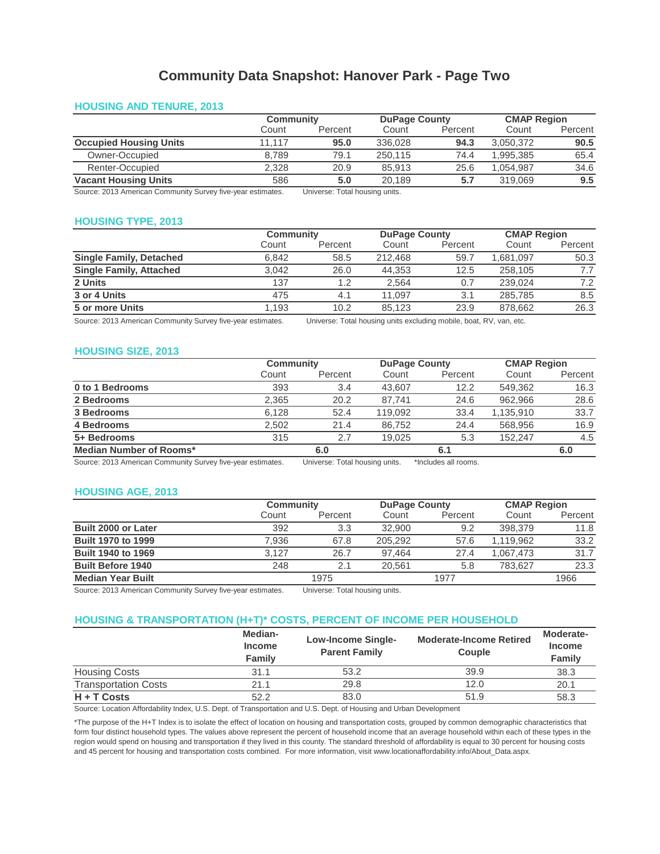# **Community Data Snapshot: Hanover Park - Page Two**

## **HOUSING AND TENURE, 2013**

|                                                             | Community                    |         | <b>DuPage County</b> |         | <b>CMAP Region</b> |         |
|-------------------------------------------------------------|------------------------------|---------|----------------------|---------|--------------------|---------|
|                                                             | Count                        | Percent | Count                | Percent | Count              | Percent |
| <b>Occupied Housing Units</b>                               | 11.117                       | 95.0    | 336.028              | 94.3    | 3.050.372          | 90.5    |
| Owner-Occupied                                              | 8.789                        | 79.1    | 250.115              | 74.4    | .995.385           | 65.4    |
| Renter-Occupied                                             | 2.328                        | 20.9    | 85.913               | 25.6    | 1.054.987          | 34.6    |
| <b>Vacant Housing Units</b>                                 | 586                          | 5.0     | 20.189               | 5.7     | 319.069            | 9.5     |
| Course 2012 American Community Curricus five year optimates | Universe Tatal housing units |         |                      |         |                    |         |

Source: 2013 American Community Survey five-year estimates. Universe: Total housing units.

#### **HOUSING TYPE, 2013**

|                                | Community |         |         | <b>DuPage County</b> |          | <b>CMAP Region</b> |  |
|--------------------------------|-----------|---------|---------|----------------------|----------|--------------------|--|
|                                | Count     | Percent | Count   | Percent              | Count    | Percent            |  |
| <b>Single Family, Detached</b> | 6.842     | 58.5    | 212,468 | 59.7                 | .681.097 | 50.3               |  |
| <b>Single Family, Attached</b> | 3.042     | 26.0    | 44.353  | 12.5                 | 258,105  | 7.7                |  |
| 2 Units                        | 137       | 1.2     | 2.564   | 0.7                  | 239.024  | 7.2                |  |
| 3 or 4 Units                   | 475       | 4.1     | 11.097  | 3.1                  | 285.785  | 8.5                |  |
| 5 or more Units                | 1.193     | 10.2    | 85.123  | 23.9                 | 878.662  | 26.3               |  |

Source: 2013 American Community Survey five-year estimates. Universe: Total housing units excluding mobile, boat, RV, van, etc.

# **HOUSING SIZE, 2013**

|                                                         |       | <b>Community</b> |                      | <b>DuPage County</b> |           | <b>CMAP Region</b> |  |
|---------------------------------------------------------|-------|------------------|----------------------|----------------------|-----------|--------------------|--|
|                                                         | Count | Percent          | Count                | Percent              | Count     | Percent            |  |
| 0 to 1 Bedrooms                                         | 393   | 3.4              | 43.607               | 12.2                 | 549.362   | 16.3               |  |
| 2 Bedrooms                                              | 2,365 | 20.2             | 87.741               | 24.6                 | 962.966   | 28.6               |  |
| 3 Bedrooms                                              | 6.128 | 52.4             | 119.092              | 33.4                 | 1.135.910 | 33.7               |  |
| 4 Bedrooms                                              | 2.502 | 21.4             | 86.752               | 24.4                 | 568,956   | 16.9               |  |
| 5+ Bedrooms                                             | 315   | 2.7              | 19.025               | 5.3                  | 152.247   | 4.5                |  |
| Median Number of Rooms*                                 |       | 6.0              |                      | 6.1                  |           | 6.0                |  |
| $\sim$ $\sim$ $\sim$ $\sim$ $\sim$ $\sim$ $\sim$ $\sim$ |       | .<br>_ _ _       | $\ddot{\phantom{0}}$ |                      |           |                    |  |

Source: 2013 American Community Survey five-year estimates. Universe: Total housing units. \*Includes all rooms. Universe: Total housing units.

#### **HOUSING AGE, 2013**

|                            | Community |         | <b>DuPage County</b> |         | <b>CMAP Region</b> |         |
|----------------------------|-----------|---------|----------------------|---------|--------------------|---------|
|                            | Count     | Percent | Count                | Percent | Count              | Percent |
| <b>Built 2000 or Later</b> | 392       | 3.3     | 32,900               | 9.2     | 398,379            | 11.8    |
| <b>Built 1970 to 1999</b>  | 7.936     | 67.8    | 205.292              | 57.6    | 1,119,962          | 33.2    |
| <b>Built 1940 to 1969</b>  | 3.127     | 26.7    | 97.464               | 27.4    | 1.067.473          | 31.7    |
| <b>Built Before 1940</b>   | 248       | 2.1     | 20.561               | 5.8     | 783.627            | 23.3    |
| <b>Median Year Built</b>   |           | 1975    |                      | 1977    |                    | 1966    |

Source: 2013 American Community Survey five-year estimates.

Universe: Total housing units.

#### **HOUSING & TRANSPORTATION (H+T)\* COSTS, PERCENT OF INCOME PER HOUSEHOLD**

|                             | Median-<br><b>Income</b><br><b>Family</b> | <b>Low-Income Single-</b><br><b>Parent Family</b> | <b>Moderate-Income Retired</b><br><b>Couple</b> |      |  |  |
|-----------------------------|-------------------------------------------|---------------------------------------------------|-------------------------------------------------|------|--|--|
| <b>Housing Costs</b>        | 31.1                                      | 53.2                                              | 39.9                                            | 38.3 |  |  |
| <b>Transportation Costs</b> | 21.1                                      | 29.8                                              | 12.0                                            | 20.1 |  |  |
| $H + T$ Costs               | 52.2                                      | 83.0                                              | 51.9                                            | 58.3 |  |  |
|                             | $\cdots$ $\sim$ $\sim$ $\cdots$<br>.      | $\cdots$ $\sim$ $\cdots$                          | $\cdots$                                        |      |  |  |

Source: Location Affordability Index, U.S. Dept. of Transportation and U.S. Dept. of Housing and Urban Development

\*The purpose of the H+T Index is to isolate the effect of location on housing and transportation costs, grouped by common demographic characteristics that form four distinct household types. The values above represent the percent of household income that an average household within each of these types in the region would spend on housing and transportation if they lived in this county. The standard threshold of affordability is equal to 30 percent for housing costs and 45 percent for housing and transportation costs combined. For more information, visit www.locationaffordability.info/About\_Data.aspx.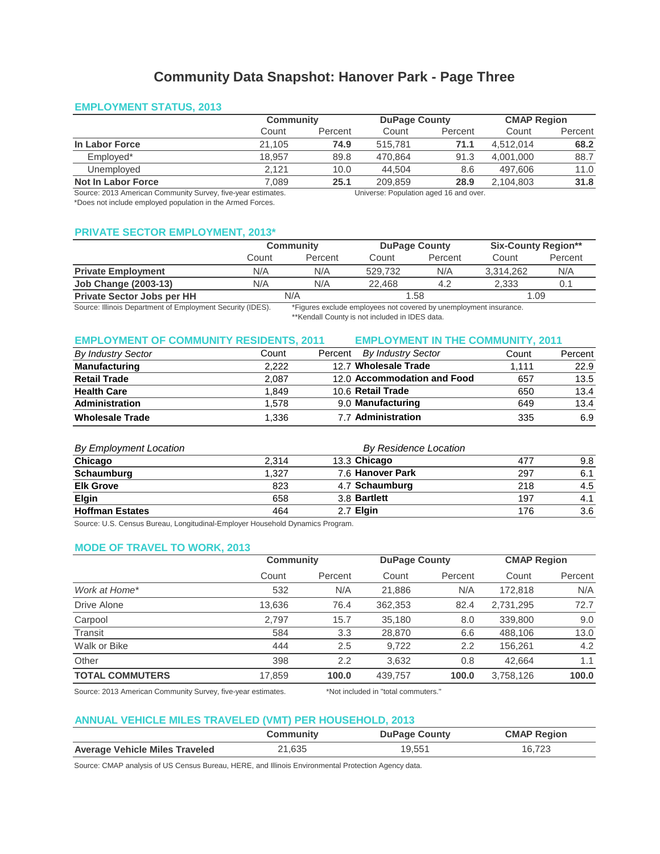# **Community Data Snapshot: Hanover Park - Page Three**

# **EMPLOYMENT STATUS, 2013**

|                                                              |        | Community |                                        | <b>DuPage County</b> |           | <b>CMAP Region</b> |  |
|--------------------------------------------------------------|--------|-----------|----------------------------------------|----------------------|-----------|--------------------|--|
|                                                              | Count  | Percent   | Count                                  | Percent              | Count     | Percent            |  |
| In Labor Force                                               | 21.105 | 74.9      | 515.781                                | 71.1                 | 4.512.014 | 68.2               |  |
| Emploved*                                                    | 18.957 | 89.8      | 470.864                                | 91.3                 | 4.001.000 | 88.7               |  |
| Unemployed                                                   | 2.121  | 10.0      | 44.504                                 | 8.6                  | 497.606   | 11.0               |  |
| Not In Labor Force                                           | 7.089  | 25.1      | 209.859                                | 28.9                 | 2.104.803 | 31.8               |  |
| Source: 2013 American Community Survey, five-year estimates. |        |           | Universe: Population aged 16 and over. |                      |           |                    |  |

\*Does not include employed population in the Armed Forces.

Universe: Population aged 16 and over.

# **PRIVATE SECTOR EMPLOYMENT, 2013\***

|                                   |       | Community |         | <b>DuPage County</b> |           | <b>Six-County Region**</b> |  |
|-----------------------------------|-------|-----------|---------|----------------------|-----------|----------------------------|--|
|                                   | Count | Percent   | Count   | Percent              | Count     | Percent                    |  |
| <b>Private Employment</b>         | N/A   | N/A       | 529.732 | N/A                  | 3.314.262 | N/A                        |  |
| <b>Job Change (2003-13)</b>       | N/A   | N/A       | 22.468  | 4.2                  | 2.333     | 0.1                        |  |
| <b>Private Sector Jobs per HH</b> | N/A   |           | 1.58    |                      | 1.09      |                            |  |

Source: Illinois Department of Employment Security (IDES).

\*Figures exclude employees not covered by unemployment insurance.

\*\*Kendall County is not included in IDES data.

### **EMPLOYMENT OF COMMUNITY RESIDENTS, 2011 EMPLOYMENT IN THE COMMUNITY, 2011**

| <b>By Industry Sector</b> | Count | By Industry Sector<br>Percent | Count | Percent |
|---------------------------|-------|-------------------------------|-------|---------|
| <b>Manufacturing</b>      | 2.222 | 12.7 Wholesale Trade          | 1.111 | 22.9    |
| <b>Retail Trade</b>       | 2.087 | 12.0 Accommodation and Food   | 657   | 13.5    |
| <b>Health Care</b>        | 1.849 | 10.6 Retail Trade             | 650   | 13.4    |
| <b>Administration</b>     | 1.578 | 9.0 Manufacturing             | 649   | 13.4    |
| <b>Wholesale Trade</b>    | 1.336 | 7.7 Administration            | 335   | 6.9     |

# *By Employment Location*

| <b>By Employment Location</b> |                       | By Residence Location |            |     |  |
|-------------------------------|-----------------------|-----------------------|------------|-----|--|
| Chicago                       | 13.3 Chicago<br>2.314 |                       | 9.8<br>477 |     |  |
| Schaumburg                    | 1.327                 | 7.6 Hanover Park      | 297        | 6.1 |  |
| <b>Elk Grove</b>              | 823                   | 4.7 Schaumburg        | 218        | 4.5 |  |
| <b>Elgin</b>                  | 658                   | 3.8 Bartlett          | 197        | 4.1 |  |
| <b>Hoffman Estates</b>        | 464                   | 2.7 Elgin             | 176        | 3.6 |  |

Source: U.S. Census Bureau, Longitudinal-Employer Household Dynamics Program.

## **MODE OF TRAVEL TO WORK, 2013**

|                        | Community |         | <b>DuPage County</b> |         | <b>CMAP Region</b> |         |
|------------------------|-----------|---------|----------------------|---------|--------------------|---------|
|                        | Count     | Percent | Count                | Percent | Count              | Percent |
| Work at Home*          | 532       | N/A     | 21,886               | N/A     | 172.818            | N/A     |
| Drive Alone            | 13,636    | 76.4    | 362.353              | 82.4    | 2,731,295          | 72.7    |
| Carpool                | 2.797     | 15.7    | 35,180               | 8.0     | 339,800            | 9.0     |
| Transit                | 584       | 3.3     | 28,870               | 6.6     | 488,106            | 13.0    |
| Walk or Bike           | 444       | 2.5     | 9,722                | 2.2     | 156.261            | 4.2     |
| Other                  | 398       | 2.2     | 3,632                | 0.8     | 42,664             | 1.1     |
| <b>TOTAL COMMUTERS</b> | 17,859    | 100.0   | 439.757              | 100.0   | 3,758,126          | 100.0   |

Source: 2013 American Community Survey, five-year estimates.

\*Not included in "total commuters."

# **ANNUAL VEHICLE MILES TRAVELED (VMT) PER HOUSEHOLD, 2013**

|                                       | Community | <b>DuPage County</b> | <b>CMAP Region</b> |
|---------------------------------------|-----------|----------------------|--------------------|
| <b>Average Vehicle Miles Traveled</b> | ?1,635    | 19.551               | 16.723             |

Source: CMAP analysis of US Census Bureau, HERE, and Illinois Environmental Protection Agency data.